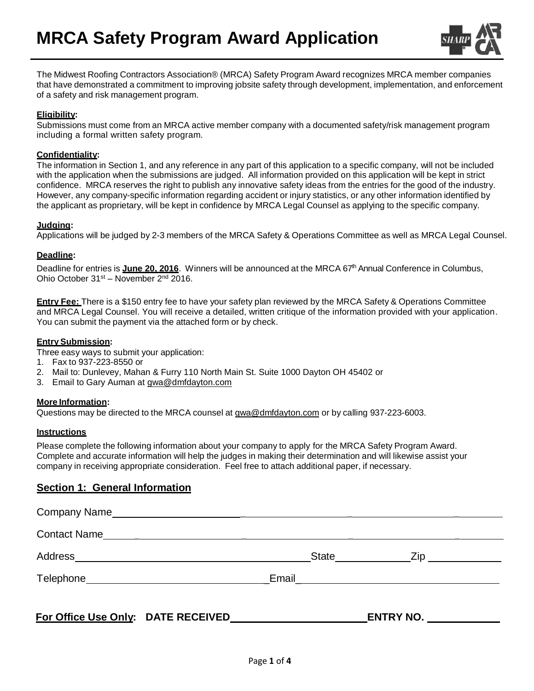

The Midwest Roofing Contractors Association® (MRCA) Safety Program Award recognizes MRCA member companies that have demonstrated a commitment to improving jobsite safety through development, implementation, and enforcement of a safety and risk management program.

### **Eligibility:**

Submissions must come from an MRCA active member company with a documented safety/risk management program including a formal written safety program.

#### **Confidentiality:**

The information in Section 1, and any reference in any part of this application to a specific company, will not be included with the application when the submissions are judged. All information provided on this application will be kept in strict confidence. MRCA reserves the right to publish any innovative safety ideas from the entries for the good of the industry. However, any company-specific information regarding accident or injury statistics, or any other information identified by the applicant as proprietary, will be kept in confidence by MRCA Legal Counsel as applying to the specific company.

### **Judging:**

Applications will be judged by 2-3 members of the MRCA Safety & Operations Committee as well as MRCA Legal Counsel.

## **Deadline:**

Deadline for entries is **June 20, 2016**. Winners will be announced at the MRCA 67 th Annual Conference in Columbus, Ohio October 31<sup>st</sup> – November 2<sup>nd</sup> 2016.

**Entry Fee:** There is a \$150 entry fee to have your safety plan reviewed by the MRCA Safety & Operations Committee and MRCA Legal Counsel. You will receive a detailed, written critique of the information provided with your application. You can submit the payment via the attached form or by check.

### **EntrySubmission:**

Three easy ways to submit your application:

- 1. Fax to 937-223-8550 or
- 2. Mail to: Dunlevey, Mahan & Furry 110 North Main St. Suite 1000 Dayton OH 45402 or
- 3. Email to Gary Auman at [gwa@dmfdayton.com](mailto:gwa@dmfdayton.com)

## **More Information:**

Questions may be directed to the MRCA counsel at  $gwa@dmfdayton.com$  or by calling 937-223-6003.

## **Instructions**

Please complete the following information about your company to apply for the MRCA Safety Program Award. Complete and accurate information will help the judges in making their determination and will likewise assist your company in receiving appropriate consideration. Feel free to attach additional paper, if necessary.

## **Section 1: General Information**

| For Office Use Only: DATE RECEIVED CONTROLLER CONTROLLER CONTROLLER CONTROLLER CONTROLLER CONTROLLER CONTROLLER | <b>ENTRY NO. _______________</b> |  |
|-----------------------------------------------------------------------------------------------------------------|----------------------------------|--|
|                                                                                                                 |                                  |  |
|                                                                                                                 |                                  |  |
| Contact Name                                                                                                    |                                  |  |
|                                                                                                                 |                                  |  |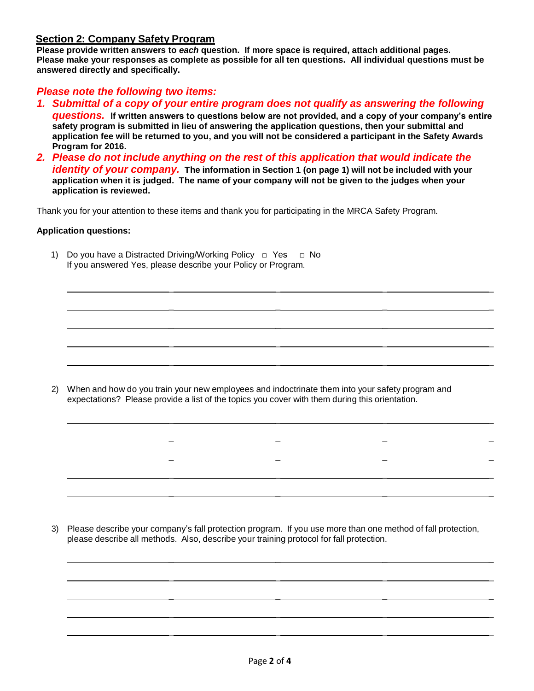## **Section 2: Company Safety Program**

**Please provide written answers to** *each* **question. If more space is required, attach additional pages. Please make your responses as complete as possible for all ten questions. All individual questions must be answered directly and specifically.**

# *Please note the following two items:*

*1. Submittal of a copy of your entire program does not qualify as answering the following* 

*questions.* **If written answers to questions below are not provided, and a copy of your company's entire safety program is submitted in lieu of answering the application questions, then your submittal and application fee will be returned to you, and you will not be considered a participant in the Safety Awards Program for 2016.** 

\_ \_ \_ \_

\_ \_ \_ \_

\_ \_ \_ \_

 $\mathcal{L}$  and  $\mathcal{L}$  and  $\mathcal{L}$  are the set of the set of the set of the set of the set of the set of the set of the set of the set of the set of the set of the set of the set of the set of the set of the set of the se

\_ \_ \_ \_

\_ \_ \_ \_

\_ \_ \_ \_

\_ \_ \_ \_

\_ \_ \_ \_

\_ \_ \_ \_

\_ \_ \_ \_

 $\mathcal{L}$  , and the set of the set of the set of the set of the set of the set of the set of the set of the set of the set of the set of the set of the set of the set of the set of the set of the set of the set of the set

\_ \_ \_ \_

\_ \_ \_ \_

\_ \_ \_ \_

*2. Please do not include anything on the rest of this application that would indicate the identity of your company.* **The information in Section 1 (on page 1) will not be included with your application when it is judged. The name of your company will not be given to the judges when your application is reviewed.**

Thank you for your attention to these items and thank you for participating in the MRCA Safety Program.

### **Application questions:**

1) Do you have a Distracted Driving/Working Policy □ Yes □ No If you answered Yes, please describe your Policy or Program.

2) When and how do you train your new employees and indoctrinate them into your safety program and expectations? Please provide a list of the topics you cover with them during this orientation.

3) Please describe your company's fall protection program. If you use more than one method of fall protection, please describe all methods. Also, describe your training protocol for fall protection.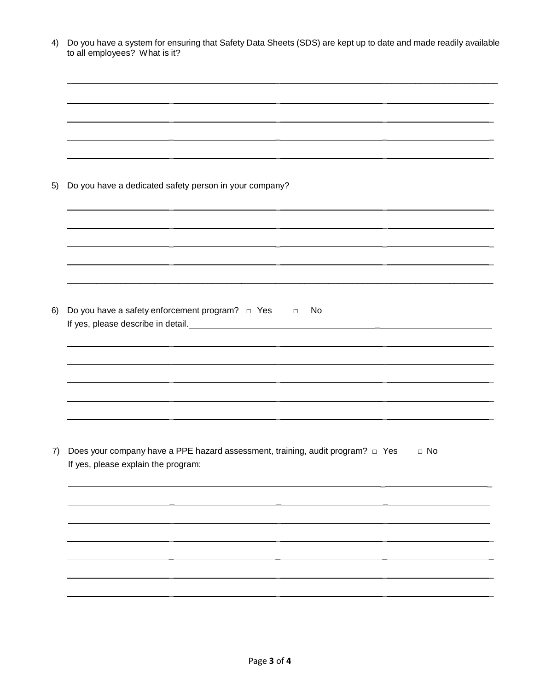|                                                                | to all employees? What is it?                                                                                                      |  |  |  |
|----------------------------------------------------------------|------------------------------------------------------------------------------------------------------------------------------------|--|--|--|
|                                                                |                                                                                                                                    |  |  |  |
|                                                                |                                                                                                                                    |  |  |  |
|                                                                |                                                                                                                                    |  |  |  |
|                                                                | Do you have a dedicated safety person in your company?                                                                             |  |  |  |
|                                                                |                                                                                                                                    |  |  |  |
|                                                                |                                                                                                                                    |  |  |  |
|                                                                |                                                                                                                                    |  |  |  |
| Do you have a safety enforcement program? $\Box$ Yes $\Box$ No |                                                                                                                                    |  |  |  |
|                                                                |                                                                                                                                    |  |  |  |
|                                                                |                                                                                                                                    |  |  |  |
|                                                                |                                                                                                                                    |  |  |  |
|                                                                |                                                                                                                                    |  |  |  |
|                                                                | Does your company have a PPE hazard assessment, training, audit program? □ Yes<br>$\Box$ No<br>If yes, please explain the program: |  |  |  |
|                                                                |                                                                                                                                    |  |  |  |
|                                                                |                                                                                                                                    |  |  |  |
|                                                                |                                                                                                                                    |  |  |  |